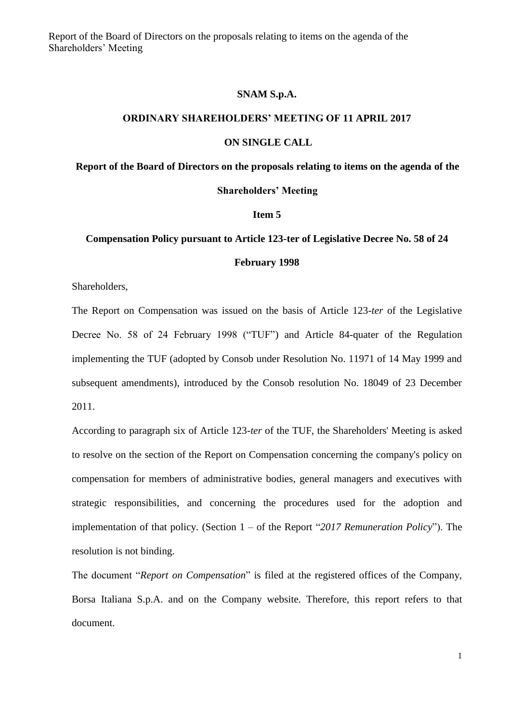Report of the Board of Directors on the proposals relating to items on the agenda of the Shareholders' Meeting

#### **SNAM S.p.A.**

## **ORDINARY SHAREHOLDERS' MEETING OF 11 APRIL 2017**

#### **ON SINGLE CALL**

# **Report of the Board of Directors on the proposals relating to items on the agenda of the**

#### **Shareholders' Meeting**

## **Item 5**

# **Compensation Policy pursuant to Article 123-ter of Legislative Decree No. 58 of 24**

# **February 1998**

Shareholders,

The Report on Compensation was issued on the basis of Article 123-*ter* of the Legislative Decree No. 58 of 24 February 1998 ("TUF") and Article 84-quater of the Regulation implementing the TUF (adopted by Consob under Resolution No. 11971 of 14 May 1999 and subsequent amendments), introduced by the Consob resolution No. 18049 of 23 December 2011.

According to paragraph six of Article 123-*ter* of the TUF, the Shareholders' Meeting is asked to resolve on the section of the Report on Compensation concerning the company's policy on compensation for members of administrative bodies, general managers and executives with strategic responsibilities, and concerning the procedures used for the adoption and implementation of that policy. (Section 1 – of the Report "*2017 Remuneration Policy*"). The resolution is not binding.

The document "*Report on Compensation*" is filed at the registered offices of the Company, Borsa Italiana S.p.A. and on the Company website. Therefore, this report refers to that document.